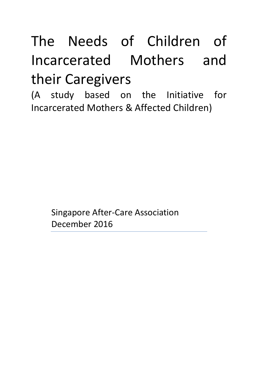# The Needs of Children of Incarcerated Mothers and their Caregivers

(A study based on the Initiative for Incarcerated Mothers & Affected Children)

> Singapore After-Care Association December 2016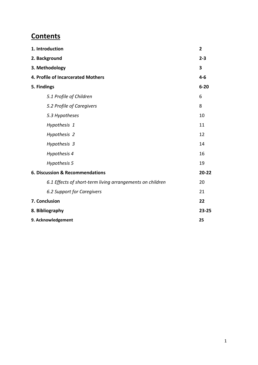## **Contents**

| 1. Introduction                                           | $\overline{2}$ |
|-----------------------------------------------------------|----------------|
| 2. Background                                             | $2 - 3$        |
| 3. Methodology                                            | 3              |
| 4. Profile of Incarcerated Mothers                        | $4 - 6$        |
| 5. Findings                                               | $6 - 20$       |
| 5.1 Profile of Children                                   | 6              |
| 5.2 Profile of Caregivers                                 | 8              |
| 5.3 Hypotheses                                            | 10             |
| Hypothesis 1                                              | 11             |
| Hypothesis 2                                              | 12             |
| Hypothesis 3                                              | 14             |
| Hypothesis 4                                              | 16             |
| Hypothesis 5                                              | 19             |
| 6. Discussion & Recommendations                           | 20-22          |
| 6.1 Effects of short-term living arrangements on children | 20             |
| 6.2 Support for Caregivers                                | 21             |
| 7. Conclusion                                             | 22             |
| 8. Bibliography                                           | $23 - 25$      |
| 9. Acknowledgement                                        | 25             |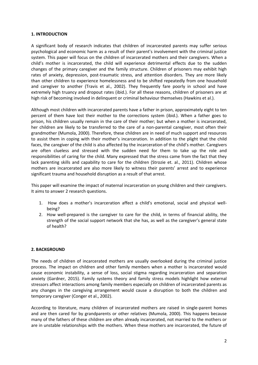## **1. INTRODUCTION**

A significant body of research indicates that children of incarcerated parents may suffer serious psychological and economic harm as a result of their parent's involvement with the criminal justice system. This paper will focus on the children of incarcerated mothers and their caregivers. When a child's mother is incarcerated, the child will experience detrimental effects due to the sudden changes of the primary caregiver and the family structure. Children of prisoners may exhibit high rates of anxiety, depression, post-traumatic stress, and attention disorders. They are more likely than other children to experience homelessness and to be shifted repeatedly from one household and caregiver to another (Travis et al., 2002). They frequently fare poorly in school and have extremely high truancy and dropout rates (ibid.). For all these reasons, children of prisoners are at high risk of becoming involved in delinquent or criminal behaviour themselves (Hawkins et al.).

Although most children with incarcerated parents have a father in prison, approximately eight to ten percent of them have lost their mother to the corrections system (ibid.). When a father goes to prison, his children usually remain in the care of their mother; but when a mother is incarcerated, her children are likely to be transferred to the care of a non-parental caregiver, most often their grandmother (Mumola, 2000). Therefore, these children are in need of much support and resources to assist them in coping with their mother's incarceration. In addition to the plight that the child faces, the caregiver of the child is also affected by the incarceration of the child's mother. Caregivers are often clueless and stressed with the sudden need for them to take up the role and responsibilities of caring for the child. Many expressed that the stress came from the fact that they lack parenting skills and capability to care for the children (Strozie et. al., 2011). Children whose mothers are incarcerated are also more likely to witness their parents' arrest and to experience significant trauma and household disruption as a result of that arrest.

This paper will examine the impact of maternal incarceration on young children and their caregivers. It aims to answer 2 research questions.

- 1. How does a mother's incarceration affect a child's emotional, social and physical wellbeing?
- 2. How well-prepared is the caregiver to care for the child, in terms of financial ability, the strength of the social support network that she has, as well as the caregiver's general state of health?

## **2. BACKGROUND**

The needs of children of incarcerated mothers are usually overlooked during the criminal justice process. The impact on children and other family members when a mother is incarcerated would cause economic instability, a sense of loss, social stigma regarding incarceration and separation anxiety (Gardner, 2015). Family systems theory and family stress models highlight how external stressors affect interactions among family members especially on children of incarcerated parents as any changes in the caregiving arrangement would cause a disruption to both the children and temporary caregiver (Conger et al., 2002).

According to literature, many children of incarcerated mothers are raised in single-parent homes and are then cared for by grandparents or other relatives (Mumola, 2000). This happens because many of the fathers of these children are often already incarcerated, not married to the mothers or are in unstable relationships with the mothers. When these mothers are incarcerated, the future of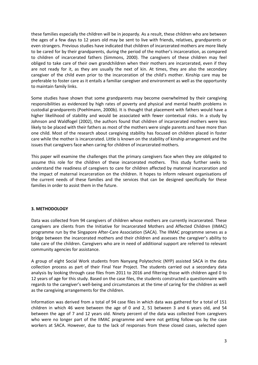these families especially the children will be in jeopardy. As a result, these children who are between the ages of a few days to 12 years old may be sent to live with friends, relatives, grandparents or even strangers. Previous studies have indicated that children of incarcerated mothers are more likely to be cared for by their grandparents, during the period of the mother's incarceration, as compared to children of incarcerated fathers (Simmons, 2000). The caregivers of these children may feel obliged to take care of their own grandchildren when their mothers are incarcerated, even if they are not ready for it, as they are usually the next of kin. At times, they are also the secondary caregiver of the child even prior to the incarceration of the child's mother. Kinship care may be preferable to foster care as it entails a familiar caregiver and environment as well as the opportunity to maintain family links.

Some studies have shown that some grandparents may become overwhelmed by their caregiving responsibilities as evidenced by high rates of poverty and physical and mental health problems in custodial grandparents (Poehlmann, 2000b). It is thought that placement with fathers would have a higher likelihood of stability and would be associated with fewer contextual risks. In a study by Johnson and Waldfogel (2002), the authors found that children of incarcerated mothers were less likely to be placed with their fathers as most of the mothers were single parents and have more than one child. Most of the research about caregiving stability has focused on children placed in foster care while the mother is incarcerated. Little is known on the stability of kinship arrangement and the issues that caregivers face when caring for children of incarcerated mothers.

This paper will examine the challenges that the primary caregivers face when they are obligated to assume this role for the children of these incarcerated mothers. This study further seeks to understand the readiness of caregivers to care for children affected by maternal incarceration and the impact of maternal incarceration on the children. It hopes to inform relevant organisations of the current needs of these families and the services that can be designed specifically for these families in order to assist them in the future.

## **3. METHODOLOGY**

Data was collected from 94 caregivers of children whose mothers are currently incarcerated. These caregivers are clients from the Initiative for Incarcerated Mothers and Affected Children (IIMAC) programme run by the Singapore After-Care Association (SACA). The IIMAC programme serves as a bridge between the incarcerated mothers and their children and assesses the caregiver's ability to take care of the children. Caregivers who are in need of additional support are referred to relevant community agencies for assistance.

A group of eight Social Work students from Nanyang Polytechnic (NYP) assisted SACA in the data collection process as part of their Final Year Project. The students carried out a secondary data analysis by looking through case files from 2011 to 2016 and filtering those with children aged 0 to 12 years of age for this study. Based on the case files, the students constructed a questionnaire with regards to the caregiver's well-being and circumstances at the time of caring for the children as well as the caregiving arrangements for the children.

Information was derived from a total of 94 case files in which data was gathered for a total of 151 children in which 46 were between the age of 0 and 2, 51 between 3 and 6 years old, and 54 between the age of 7 and 12 years old. Ninety percent of the data was collected from caregivers who were no longer part of the IIMAC programme and were not getting follow-ups by the case workers at SACA. However, due to the lack of responses from these closed cases, selected open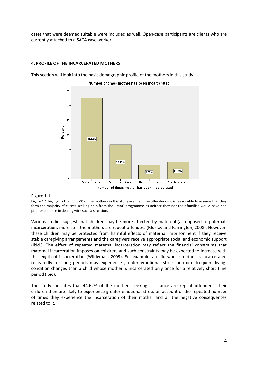cases that were deemed suitable were included as well. Open-case participants are clients who are currently attached to a SACA case worker.

## **4. PROFILE OF THE INCARCERATED MOTHERS**

This section will look into the basic demographic profile of the mothers in this study.



Number of times mother has been incarcerated

## Figure 1.1

Figure 1.1 highlights that 55.32% of the mothers in this study are first time offenders – it is reasonable to assume that they form the majority of clients seeking help from the IIMAC programme as neither they nor their families would have had prior experience in dealing with such a situation.

Various studies suggest that children may be more affected by maternal (as opposed to paternal) incarceration, more so if the mothers are repeat offenders (Murray and Farrington, 2008). However, these children may be protected from harmful effects of maternal imprisonment if they receive stable caregiving arrangements and the caregivers receive appropriate social and economic support (ibid.). The effect of repeated maternal incarceration may reflect the financial constraints that maternal incarceration imposes on children, and such constraints may be expected to increase with the length of incarceration (Wildeman, 2009). For example, a child whose mother is incarcerated repeatedly for long periods may experience greater emotional stress or more frequent livingcondition changes than a child whose mother is incarcerated only once for a relatively short time period (ibid).

The study indicates that 44.62% of the mothers seeking assistance are repeat offenders. Their children then are likely to experience greater emotional stress on account of the repeated number of times they experience the incarceration of their mother and all the negative consequences related to it.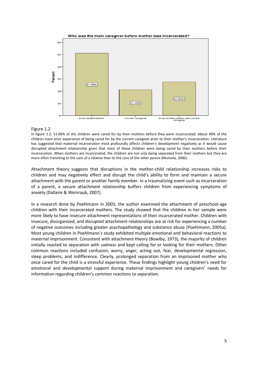![](_page_5_Figure_0.jpeg)

## Figure 1.2

In figure 1.2, 51.06% of the children were cared for by their mothers before they were incarcerated. About 49% of the children have prior experience of being cared for by the current caregiver prior to their mother's incarceration. Literature has suggested that maternal incarceration most profoundly affects children's development negatively as it would cause disrupted attachment relationship given that most of these children were being cared by their mothers before their incarceration. When mothers are incarcerated, the children are not only being separated from their mothers but they are more often transiting to the care of a relative than to the care of the other parent (Mumola, 2000).

Attachment theory suggests that disruptions in the mother-child relationship increases risks to children and may negatively effect and disrupt the child's ability to form and maintain a secure attachment with the parent or another family member. In a traumatizing event such as incarceration of a parent, a secure attachment relationship buffers children from experiencing symptoms of anxiety (Dallaire & Weinraub, 2007).

In a research done by Poehlmann in 2005, the author examined the attachment of preschool-age children with their incarcerated mothers. The study showed that the children in her sample were more likely to have insecure attachment representations of their incarcerated mother. Children with insecure, disorganized, and disrupted attachment relationships are at risk for experiencing a number of negative outcomes including greater psychopathology and substance abuse (Poehlmann, 2005a). Most young children in Poehlmann's study exhibited multiple emotional and behavioral reactions to maternal imprisonment. Consistent with attachment theory (Bowlby, 1973), the majority of children initially reacted to separation with sadness and kept calling for or looking for their mothers. Other common reactions included confusion, worry, anger, acting out, fear, developmental regression, sleep problems, and indifference. Clearly, prolonged separation from an imprisoned mother who once cared for the child is a stressful experience. These findings highlight young children's need for emotional and developmental support during maternal imprisonment and caregivers' needs for information regarding children's common reactions to separation.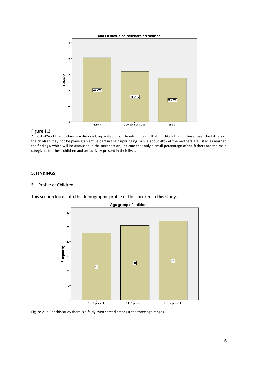![](_page_6_Figure_0.jpeg)

## Figure 1.3

Almost 60% of the mothers are divorced, separated or single which means that it is likely that in these cases the fathers of the children may not be playing an active part in their upbringing. While about 40% of the mothers are listed as married the findings, which will be discussed in the next section, indicate that only a small percentage of the fathers are the main caregivers for these children and are actively present in their lives.

## **5. FINDINGS**

## 5.1 Profile of Children

This section looks into the demographic profile of the children in this study.

![](_page_6_Figure_6.jpeg)

Figure 2.1: For this study there is a fairly even spread amongst the three age ranges.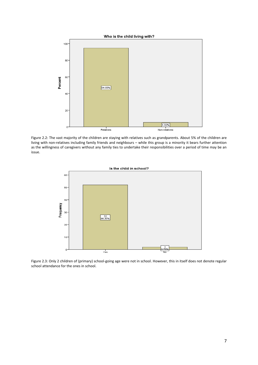![](_page_7_Figure_0.jpeg)

Figure 2.2: The vast majority of the children are staying with relatives such as grandparents. About 5% of the children are living with non-relatives including family friends and neighbours – while this group is a minority it bears further attention as the willingness of caregivers without any family ties to undertake their responsibilities over a period of time may be an issue.

![](_page_7_Figure_2.jpeg)

Figure 2.3: Only 2 children of (primary) school-going age were not in school. However, this in itself does not denote regular school attendance for the ones in school.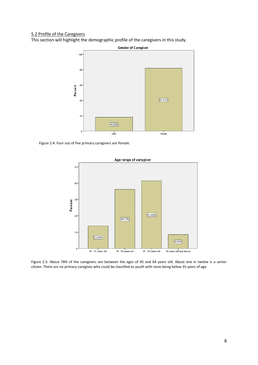## 5.2 Profile of the Caregivers

This section will highlight the demographic profile of the caregivers in this study.

![](_page_8_Figure_2.jpeg)

Figure 2.4: Four out of five primary caregivers are female.

![](_page_8_Figure_4.jpeg)

Figure 2.5: About 78% of the caregivers are between the ages of 45 and 64 years old. About one in twelve is a senior citizen. There are no primary caregives who could be classified as youth with none being below 35 years of age.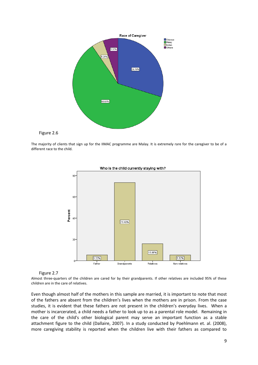![](_page_9_Figure_0.jpeg)

![](_page_9_Figure_1.jpeg)

The majority of clients that sign up for the IIMAC programme are Malay. It is extremely rare for the caregiver to be of a different race to the child.

![](_page_9_Figure_3.jpeg)

![](_page_9_Figure_4.jpeg)

#### Figure 2.7

Almost three-quarters of the children are cared for by their grandparents. If other relatives are included 95% of these children are in the care of relatives.

Even though almost half of the mothers in this sample are married, it is important to note that most of the fathers are absent from the children's lives when the mothers are in prison. From the case studies, it is evident that these fathers are not present in the children's everyday lives. When a mother is incarcerated, a child needs a father to look up to as a parental role model. Remaining in the care of the child's other biological parent may serve an important function as a stable attachment figure to the child (Dallaire, 2007). In a study conducted by Poehlmann et. al. (2008), more caregiving stability is reported when the children live with their fathers as compared to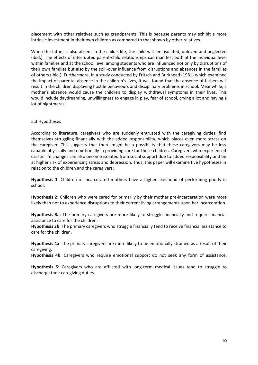placement with other relatives such as grandparents. This is because parents may exhibit a more intrinsic investment in their own children as compared to that shown by other relatives.

When the father is also absent in the child's life, the child will feel isolated, unloved and neglected (ibid.). The effects of interrupted parent-child relationships can manifest both at the individual level within families and at the school level among students who are influenced not only by disruptions of their own families but also by the spill-over influence from disruptions and absences in the families of others (ibid.). Furthermore, in a study conducted by Fritsch and Burkhead (1981) which examined the impact of parental absence in the children's lives, it was found that the absence of fathers will result in the children displaying hostile behaviours and disciplinary problems in school. Meanwhile, a mother's absence would cause the children to display withdrawal symptoms in their lives. This would include daydreaming, unwillingness to engage in play, fear of school, crying a lot and having a lot of nightmares.

## 5.3 Hypotheses

According to literature, caregivers who are suddenly entrusted with the caregiving duties, find themselves struggling financially with the added responsibility, which places even more stress on the caregiver. This suggests that there might be a possibility that these caregivers may be less capable physically and emotionally in providing care for these children. Caregivers who experienced drastic life changes can also become isolated from social support due to added responsibility and be at higher risk of experiencing stress and depression. Thus, this paper will examine five hypotheses in relation to the children and the caregivers;

**Hypothesis 1**: Children of incarcerated mothers have a higher likelihood of performing poorly in school.

**Hypothesis 2**: Children who were cared for primarily by their mother pre-incarceration were more likely than not to experience disruptions to their current living arrangements upon her incarceration.

**Hypothesis 3a**: The primary caregivers are more likely to struggle financially and require financial assistance to care for the children.

**Hypothesis 3b**: The primary caregivers who struggle financially tend to receive financial assistance to care for the children.

**Hypothesis 4a**: The primary caregivers are more likely to be emotionally strained as a result of their caregiving.

**Hypothesis 4b**: Caregivers who require emotional support do not seek any form of assistance.

**Hypothesis 5**: Caregivers who are afflicted with long-term medical issues tend to struggle to discharge their caregiving duties.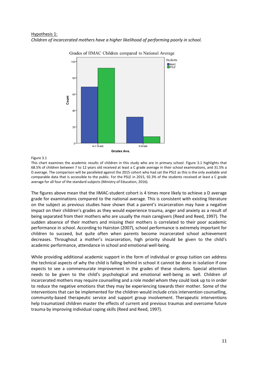## Hypothesis 1: *Children of incarcerated mothers have a higher likelihood of performing poorly in school.*

![](_page_11_Figure_1.jpeg)

Grades of IIMAC Children compared to National Average

#### Figure 3.1

This chart examines the academic results of children in this study who are in primary school. Figure 3.1 highlights that 68.5% of children between 7 to 12 years old received at least a C grade average in their school examinations, and 31.5% a D average. The comparison will be paralleled against the 2015 cohort who had sat the PSLE as this is the only available and comparable data that is accessible to the public. For the PSLE in 2015, 92.3% of the students received at least a C grade average for all four of the standard subjects (Ministry of Education, 2016).

The figures above mean that the IIMAC-student cohort is 4 times more likely to achieve a D average grade for examinations compared to the national average. This is consistent with existing literature on the subject as previous studies have shown that a parent's incarceration may have a negative impact on their children's grades as they would experience trauma, anger and anxiety as a result of being separated from their mothers who are usually the main caregivers (Reed and Reed, 1997). The sudden absence of their mothers and missing their mothers is correlated to their poor academic performance in school. According to Hairston (2007), school performance is extremely important for children to succeed, but quite often when parents become incarcerated school achievement decreases. Throughout a mother's incarceration, high priority should be given to the child's academic performance, attendance in school and emotional well-being.

While providing additional academic support in the form of individual or group tuition can address the technical aspects of why the child is falling behind in school it cannot be done in isolation if one expects to see a commensurate improvement in the grades of these students. Special attention needs to be given to the child's psychological and emotional well-being as well. Children of incarcerated mothers may require counselling and a role model whom they could look up to in order to reduce the negative emotions that they may be experiencing towards their mother. Some of the interventions that can be implemented for the children would include crisis intervention counselling, community-based therapeutic service and support group involvement. Therapeutic interventions help traumatized children master the effects of current and previous traumas and overcome future trauma by improving individual coping skills (Reed and Reed, 1997).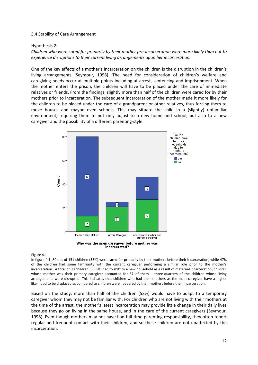## 5.4 Stability of Care Arrangement

## Hypothesis 2:

*Children who were cared for primarily by their mother pre-incarceration were more likely than not to experience disruptions to their current living arrangements upon her incarceration.*

One of the key effects of a mother's incarceration on the children is the disruption in the children's living arrangements (Seymour, 1998). The need for consideration of children's welfare and caregiving needs occur at multiple points including at arrest, sentencing and imprisonment. When the mother enters the prison, the children will have to be placed under the care of immediate relatives or friends. From the findings, slightly more than half of the children were cared for by their mothers prior to incarceration. The subsequent incarceration of the mother made it more likely for the children to be placed under the care of a grandparent or other relatives, thus forcing them to move houses and maybe even schools. This may situate the child in a (slightly) unfamiliar environment, requiring them to not only adjust to a new home and school, but also to a new caregiver and the possibility of a different parenting-style.

![](_page_12_Figure_4.jpeg)

![](_page_12_Figure_5.jpeg)

#### Figure 4.1

In figure 4.1, 80 out of 151 children (53%) were cared for primarily by their mothers before their incarceration, while 47% of the children had some familiarity with the current caregiver performing a similar role prior to the mother's incarceration. A total of 90 children (59.6%) had to shift to a new household as a result of maternal incarceration; children whose mother was their primary caregiver accounted for 67 of them – three-quarters of the children whose living arrangements were disrupted. This indicates that children who had their mothers as the main caregiver have a higher likelihood to be displaced as compared to children were not cared by their mothers before their incarceration.

Based on the study, more than half of the children (53%) would have to adapt to a temporary caregiver whom they may not be familiar with. For children who are not living with their mothers at the time of the arrest, the mother's latest incarceration may provide little change in their daily lives because they go on living in the same house, and in the care of the current caregivers (Seymour, 1998). Even though mothers may not have had full-time parenting responsibility, they often report regular and frequent contact with their children, and so these children are not unaffected by the incarceration.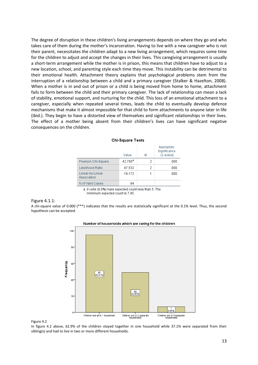The degree of disruption in these children's living arrangements depends on where they go and who takes care of them during the mother's incarceration. Having to live with a new caregiver who is not their parent, necessitates the children adapt to a new living arrangement, which requires some time for the children to adjust and accept the changes in their lives. This caregiving arrangement is usually a short-term arrangement while the mother is in prison, this means that children have to adjust to a new location, school, and parenting style each time they move. This instability can be detrimental to their emotional health. Attachment theory explains that psychological problems stem from the interruption of a relationship between a child and a primary caregiver (Stalker & Hazelton, 2008). When a mother is in and out of prison or a child is being moved from home to home, attachment fails to form between the child and their primary caregiver. The lack of relationship can mean a lack of stability, emotional support, and nurturing for the child. This loss of an emotional attachment to a caregiver, especially when repeated several times, leads the child to eventually develop defence mechanisms that make it almost impossible for that child to form attachments to anyone later in life (ibid.). They begin to have a distorted view of themselves and significant relationships in their lives. The effect of a mother being absent from their children's lives can have significant negative consequences on the children.

|                                 | Value      | df | Asymptotic<br>Significance<br>$(2-sided)$ |
|---------------------------------|------------|----|-------------------------------------------|
| Pearson Chi-Square              | $42.795^a$ | 2  | .000                                      |
| Likelihood Ratio                | 47.532     | 2  | .000                                      |
| Linear-by-Linear<br>Association | 18.172     |    | .000                                      |
| N of Valid Cases                | 94         |    |                                           |

#### **Chi-Square Tests**

a. 0 cells (0.0%) have expected count less than 5. The minimum expected count is 7.45.

#### Figure 4.1.1:

A chi-square value of 0.000 (\*\*\*) indicates that the results are statistically significant at the 0.1% level. Thus, the second hypothesis can be accepted.

![](_page_13_Figure_6.jpeg)

#### Number of households which are caring for the children

#### Figure 4.2

In figure 4.2 above, 62.9% of the children stayed together in one household while 37.1% were separated from their sibling(s) and had to live in two or more different households.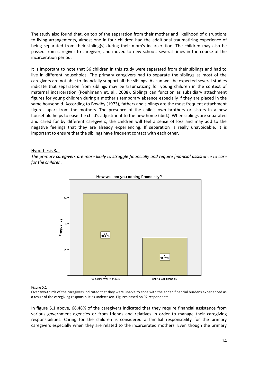The study also found that, on top of the separation from their mother and likelihood of disruptions to living arrangements, almost one in four children had the additional traumatizing experience of being separated from their sibling(s) during their mom's incarceration. The children may also be passed from caregiver to caregiver, and moved to new schools several times in the course of the incarceration period.

It is important to note that 56 children in this study were separated from their siblings and had to live in different households. The primary caregivers had to separate the siblings as most of the caregivers are not able to financially support all the siblings. As can well be expected several studies indicate that separation from siblings may be traumatizing for young children in the context of maternal incarceration (Poehlmann et. al., 2008). Siblings can function as subsidiary attachment figures for young children during a mother's temporary absence especially if they are placed in the same household. According to Bowlby (1973), fathers and siblings are the most frequent attachment figures apart from the mothers. The presence of the child's own brothers or sisters in a new household helps to ease the child's adjustment to the new home (ibid.). When siblings are separated and cared for by different caregivers, the children will feel a sense of loss and may add to the negative feelings that they are already experiencing. If separation is really unavoidable, it is important to ensure that the siblings have frequent contact with each other.

## Hypothesis 3a:

*The primary caregivers are more likely to struggle financially and require financial assistance to care for the children.*

![](_page_14_Figure_4.jpeg)

## How well are you coping financially?

#### Figure 5.1

Over two-thirds of the caregivers indicated that they were unable to cope with the added financial burdens experienced as a result of the caregiving responsibilities undertaken. Figures based on 92 respondents.

In figure 5.1 above, 68.48% of the caregivers indicated that they require financial assistance from various government agencies or from friends and relatives in order to manage their caregiving responsibilities. Caring for the children is considered a familial responsibility for the primary caregivers especially when they are related to the incarcerated mothers. Even though the primary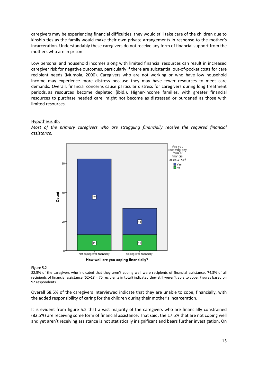caregivers may be experiencing financial difficulties, they would still take care of the children due to kinship ties as the family would make their own private arrangements in response to the mother's incarceration. Understandably these caregivers do not receive any form of financial support from the mothers who are in prison.

Low personal and household incomes along with limited financial resources can result in increased caregiver risk for negative outcomes, particularly if there are substantial out-of-pocket costs for care recipient needs (Mumola, 2000). Caregivers who are not working or who have low household income may experience more distress because they may have fewer resources to meet care demands. Overall, financial concerns cause particular distress for caregivers during long treatment periods, as resources become depleted (ibid.). Higher-income families, with greater financial resources to purchase needed care, might not become as distressed or burdened as those with limited resources.

## Hypothesis 3b:

*Most of the primary caregivers who are struggling financially receive the required financial assistance.*

![](_page_15_Figure_4.jpeg)

Figure 5.2

82.5% of the caregivers who indicated that they aren't coping well were recipients of financial assistance. 74.3% of all recipients of financial assistance (52+18 = 70 recipients in total) indicated they still weren't able to cope. Figures based on 92 respondents.

Overall 68.5% of the caregivers interviewed indicate that they are unable to cope, financially, with the added responsibility of caring for the children during their mother's incarceration.

It is evident from figure 5.2 that a vast majority of the caregivers who are financially constrained (82.5%) are receiving some form of financial assistance. That said, the 17.5% that are not coping well and yet aren't receiving assistance is not statistically insignificant and bears further investigation. On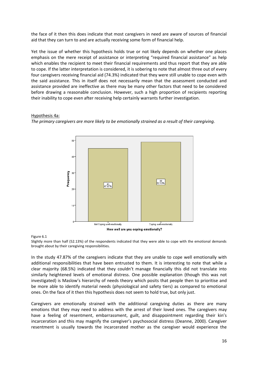the face of it then this does indicate that most caregivers in need are aware of sources of financial aid that they can turn to and are actually receiving some form of financial help.

Yet the issue of whether this hypothesis holds true or not likely depends on whether one places emphasis on the mere receipt of assistance or interpreting "required financial assistance" as help which enables the recipient to meet their financial requirements and thus report that they are able to cope. If the latter interpretation is considered, it is sobering to note that almost three out of every four caregivers receiving financial aid (74.3%) indicated that they were still unable to cope even with the said assistance. This in itself does not necessarily mean that the assessment conducted and assistance provided are ineffective as there may be many other factors that need to be considered before drawing a reasonable conclusion. However, such a high proportion of recipients reporting their inability to cope even after receiving help certainly warrants further investigation.

## Hypothesis 4a:

*The primary caregivers are more likely to be emotionally strained as a result of their caregiving.*

![](_page_16_Figure_4.jpeg)

## Figure 6.1

Slightly more than half (52.13%) of the respondents indicated that they were able to cope with the emotional demands brought about by their caregiving responsibilities.

In the study 47.87% of the caregivers indicate that they are unable to cope well emotionally with additional responsibilities that have been entrusted to them. It is interesting to note that while a clear majority (68.5%) indicated that they couldn't manage financially this did not translate into similarly heightened levels of emotional distress. One possible explanation (though this was not investigated) is Maslow's hierarchy of needs theory which posits that people then to prioritise and be more able to identify material needs (physiological and safety tiers) as compared to emotional ones. On the face of it then this hypothesis does not seem to hold true, but only just.

Caregivers are emotionally strained with the additional caregiving duties as there are many emotions that they may need to address with the arrest of their loved ones. The caregivers may have a feeling of resentment, embarrassment, guilt, and disappointment regarding their kin's incarceration and this may magnify the caregiver's psychosocial distress (Deanne, 2000). [Caregiver](https://www.caring.com/blogs/self-caring/resentment-in-caring)  [resentment](https://www.caring.com/blogs/self-caring/resentment-in-caring) is usually towards the incarcerated mother as the caregiver would experience the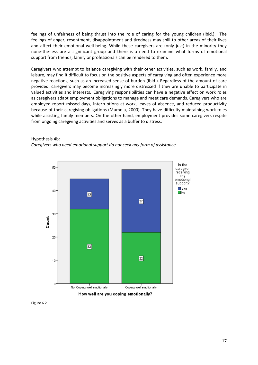feelings of unfairness of being thrust into the role of caring for the young children (ibid.). The feelings of anger, resentment, disappointment and tiredness may spill to other areas of their lives and affect their emotional well-being. While these caregivers are (only just) in the minority they none-the-less are a significant group and there is a need to examine what forms of emotional support from friends, family or professionals can be rendered to them.

Caregivers who attempt to balance caregiving with their other activities, such as work, family, and leisure, may find it difficult to focus on the positive aspects of caregiving and often experience more negative reactions, such as an increased sense of burden (ibid.). Regardless of the amount of care provided, caregivers may become increasingly more distressed if they are unable to participate in valued activities and interests. Caregiving responsibilities can have a negative effect on work roles as caregivers adapt employment obligations to manage and meet care demands. Caregivers who are employed report missed days, interruptions at work, leaves of absence, and reduced productivity because of their caregiving obligations (Mumola, 2000). They have difficulty maintaining work roles while assisting family members. On the other hand, employment provides some caregivers respite from ongoing caregiving activities and serves as a buffer to distress.

## Hypothesis 4b:

*Caregivers who need emotional support do not seek any form of assistance.*

![](_page_17_Figure_4.jpeg)

Figure 6.2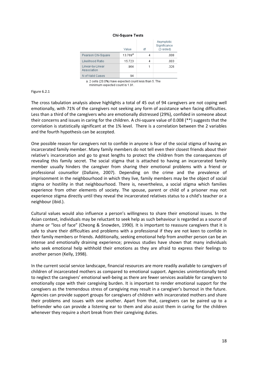#### Chi-Square Tests

|                                 | Value               | df | Asymptotic<br>Significance<br>$(2-sided)$ |
|---------------------------------|---------------------|----|-------------------------------------------|
| Pearson Chi-Square              | $13.769^{\text{a}}$ | 4  | .008                                      |
| Likelihood Ratio                | 15.723              | 4  | .003                                      |
| Linear-by-Linear<br>Association | .964                |    | .326                                      |
| N of Valid Cases                | 94                  |    |                                           |

a. 2 cells (20.0%) have expected count less than 5. The minimum expected count is 1.91.

#### Figure 6.2.1

The cross tabulation analysis above highlights a total of 45 out of 94 caregivers are not coping well emotionally, with 71% of the caregivers not seeking any form of assistance when facing difficulties. Less than a third of the caregivers who are emotionally distressed (29%), confided in someone about their concerns and issues in caring for the children. A chi-square value of 0.008 (\*\*) suggests that the correlation is statistically significant at the 1% level. There is a correlation between the 2 variables and the fourth hypothesis can be accepted.

One possible reason for caregivers not to confide in anyone is fear of the social stigma of having an incarcerated family member. Many family members do not tell even their closest friends about their relative's incarceration and go to great lengths to protect the children from the consequences of revealing this family secret. The social stigma that is attached to having an incarcerated family member usually hinders the caregiver from sharing their emotional problems with a friend or professional counsellor (Dallaire, 2007). Depending on the crime and the prevalence of imprisonment in the neighbourhood in which they live, family members may be the object of social stigma or hostility in that neighbourhood. There is, nevertheless, a social stigma which families experience from other elements of society. The spouse, parent or child of a prisoner may not experience stigma directly until they reveal the incarcerated relatives status to a child's teacher or a neighbour (ibid.).

Cultural values would also influence a person's willingness to share their emotional issues. In the Asian context, individuals may be reluctant to seek help as such behaviour is regarded as a source of shame or "loss of face" (Cheong & Snowden, 1990). It is important to reassure caregivers that it is safe to share their difficulties and problems with a professional if they are not keen to confide in their family members or friends. Additionally, seeking emotional help from another person can be an intense and emotionally draining experience; previous studies have shown that many individuals who seek emotional help withhold their emotions as they are afraid to express their feelings to another person (Kelly, 1998).

In the current social service landscape, financial resources are more readily available to caregivers of children of incarcerated mothers as compared to emotional support. Agencies unintentionally tend to neglect the caregivers' emotional well-being as there are fewer services available for caregivers to emotionally cope with their caregiving burden. It is important to render emotional support for the caregivers as the tremendous stress of caregiving may result in a caregiver's burnout in the future. Agencies can provide support groups for caregivers of children with incarcerated mothers and share their problems and issues with one another. Apart from that, caregivers can be paired up to a befriender who can provide a listening ear to them and also assist them in caring for the children whenever they require a short break from their caregiving duties.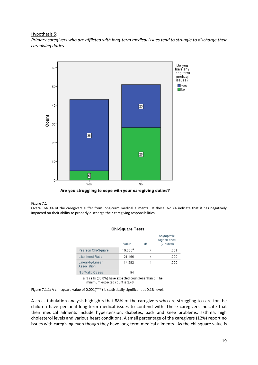## Hypothesis 5:

*Primary caregivers who are afflicted with long-term medical issues tend to struggle to discharge their caregiving duties.*

![](_page_19_Figure_2.jpeg)

![](_page_19_Figure_3.jpeg)

#### Figure 7.1

Overall 64.9% of the caregivers suffer from long-term medical ailments. Of these, 62.3% indicate that it has negatively impacted on their ability to properly discharge their caregiving responsibilities.

 $Q(x)$   $Q(x)$   $Q(x)$   $Q(x)$   $Q(x)$ 

| Uni-Square Tests                |                     |    |                                         |  |
|---------------------------------|---------------------|----|-----------------------------------------|--|
|                                 | Value               | df | Asymptotic<br>Significance<br>(2-sided) |  |
| Pearson Chi-Square              | $19.366^{\text{a}}$ | 4  | .001                                    |  |
| Likelihood Ratio                | 21.166              | 4  | .000                                    |  |
| Linear-by-Linear<br>Association | 14.282              |    | .000                                    |  |
| N of Valid Cases                | 94                  |    |                                         |  |

a. 3 cells (30.0%) have expected count less than 5. The minimum expected count is 2.46.

Figure 7.1.1: A chi-square value of 0.001(\*\*\*) is statistically significant at 0.1% level.

A cross tabulation analysis highlights that 88% of the caregivers who are struggling to care for the children have personal long-term medical issues to contend with. These caregivers indicate that their medical ailments include hypertension, diabetes, back and knee problems, asthma, high cholesterol levels and various heart conditions. A small percentage of the caregivers (12%) report no issues with caregiving even though they have long-term medical ailments. As the chi-square value is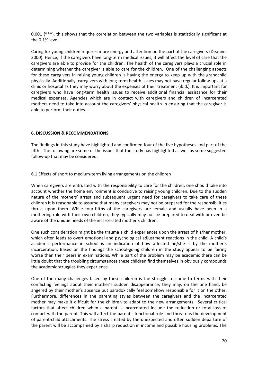0.001 (\*\*\*), this shows that the correlation between the two variables is statistically significant at the 0.1% level.

Caring for young children requires more energy and attention on the part of the caregivers (Deanne, 2000). Hence, if the caregivers have long-term medical issues, it will affect the level of care that the caregivers are able to provide for the children. The health of the caregivers plays a crucial role in determining whether the caregiver is able to care for the children. One of the challenging aspects for these caregivers in raising young children is having the energy to keep up with the grandchild physically. Additionally, caregivers with long-term health issues may not have regular follow-ups at a clinic or hospital as they may worry about the expenses of their treatment (ibid.). It is important for caregivers who have long-term health issues to receive additional financial assistance for their medical expenses. Agencies which are in contact with caregivers and children of incarcerated mothers need to take into account the caregivers' physical health in ensuring that the caregiver is able to perform their duties.

## **6. DISCUSSION & RECOMMENDATIONS**

The findings in this study have highlighted and confirmed four of the five hypotheses and part of the fifth. The following are some of the issues that the study has highlighted as well as some suggested follow-up that may be considered.

## 6.1 Effects of short to medium-term living arrangements on the children

When caregivers are entrusted with the responsibility to care for the children, one should take into account whether the home environment is conducive to raising young children. Due to the sudden nature of the mothers' arrest and subsequent urgent need for caregivers to take care of these children it is reasonable to assume that many caregivers may not be prepared for the responsibilities thrust upon them. While four-fifths of the caregivers are female and usually have been in a mothering role with their own children, they typically may not be prepared to deal with or even be aware of the unique needs of the incarcerated mother's children.

One such consideration might be the trauma a child experiences upon the arrest of his/her mother, which often leads to overt emotional and psychological adjustment reactions in the child. A child's academic performance in school is an indication of how affected he/she is by the mother's incarceration. Based on the findings the school-going children in the study appear to be fairing worse than their peers in examinations. While part of the problem may be academic there can be little doubt that the troubling circumstances these children find themselves in obviously compounds the academic struggles they experience.

One of the many challenges faced by these children is the struggle to come to terms with their conflicting feelings about their mother's sudden disappearance; they may, on the one hand, be angered by their mother's absence but paradoxically feel somehow responsible for it on the other. Furthermore, differences in the parenting styles between the caregivers and the incarcerated mother may make it difficult for the children to adapt to the new arrangements. Several critical factors that affect children when a parent is incarcerated include the reduction or total loss of contact with the parent. This will affect the parent's functional role and threatens the development of parent-child attachments. The stress created by the unexpected and often sudden departure of the parent will be accompanied by a sharp reduction in income and possible housing problems. The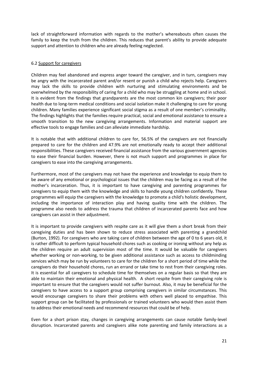lack of straightforward information with regards to the mother's whereabouts often causes the family to keep the truth from the children. This reduces that parent's ability to provide adequate support and attention to children who are already feeling neglected.

## 6.2 Support for caregivers

Children may feel abandoned and express anger toward the caregiver, and in turn, caregivers may be angry with the incarcerated parent and/or resent or punish a child who rejects help. Caregivers may lack the skills to provide children with nurturing and stimulating environments and be overwhelmed by the responsibility of caring for a child who may be struggling at home and in school. It is evident from the findings that grandparents are the most common kin caregivers; their poor health due to long-term medical conditions and social isolation make it challenging to care for young children. Many families experience significant social stigma as a result of one member's criminality. The findings highlights that the families require practical, social and emotional assistance to ensure a smooth transition to the new caregiving arrangements. Information and material support are effective tools to engage families and can alleviate immediate hardship.

It is notable that with additional children to care for, 56.5% of the caregivers are not financially prepared to care for the children and 47.9% are not emotionally ready to accept their additional responsibilities. These caregivers received financial assistance from the various government agencies to ease their financial burden. However, there is not much support and programmes in place for caregivers to ease into the caregiving arrangements.

Furthermore, most of the caregivers may not have the experience and knowledge to equip them to be aware of any emotional or psychological issues that the children may be facing as a result of the mother's incarceration. Thus, it is important to have caregiving and parenting programmes for caregivers to equip them with the knowledge and skills to handle young children confidently. These programmes will equip the caregivers with the knowledge to promote a child's holistic development, including the importance of interaction play and having quality time with the children. The programme also needs to address the trauma that children of incarcerated parents face and how caregivers can assist in their adjustment.

It is important to provide caregivers with respite care as it will give them a short break from their caregiving duties and has been shown to reduce stress associated with parenting a grandchild (Burton, 1992). For caregivers who are taking care of children between the age of 0 to 6 years old, it is rather difficult to perform typical household chores such as cooking or ironing without any help as the children require an adult supervision most of the time. It would be valuable for caregivers whether working or non-working, to be given additional assistance such as access to childminding services which may be run by volunteers to care for the children for a short period of time while the caregivers do their household chores, run an errand or take time to rest from their caregiving roles. It is essential for all caregivers to schedule time for themselves on a regular basis so that they are able to maintain their emotional and physical health. A short respite from their caregiving role is important to ensure that the caregivers would not suffer burnout. Also, it may be beneficial for the caregivers to have access to a support group comprising caregivers in similar circumstances. This would encourage caregivers to share their problems with others well placed to empathise. This support group can be facilitated by professionals or trained volunteers who would then assist them to address their emotional needs and recommend resources that could be of help.

Even for a short prison stay, changes in caregiving arrangements can cause notable family-level disruption. Incarcerated parents and caregivers alike note parenting and family interactions as a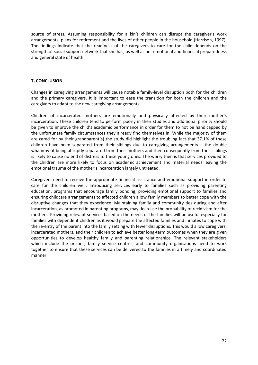source of stress. Assuming responsibility for a kin's children can disrupt the caregiver's work arrangements, plans for retirement and the lives of other people in the household (Harrison, 1997). The findings indicate that the readiness of the caregivers to care for the child depends on the strength of social support network that she has, as well as her emotional and financial preparedness and general state of health.

## **7. CONCLUSION**

Changes in caregiving arrangements will cause notable family-level disruption both for the children and the primary caregivers. It is important to ease the transition for both the children and the caregivers to adapt to the new caregiving arrangements.

Children of incarcerated mothers are emotionally and physically affected by their mother's incarceration. These children tend to perform poorly in their studies and additional priority should be given to improve the child's academic performance in order for them to not be handicapped by the unfortunate family circumstances they already find themselves in. While the majority of them are cared for by their grandparent(s) the study did highlight the troubling fact that 37.1% of these children have been separated from their siblings due to caregiving arrangements – the double whammy of being abruptly separated from their mothers and then consequently from their siblings is likely to cause no end of distress to these young ones. The worry then is that services provided to the children are more likely to focus on academic achievement and material needs leaving the emotional trauma of the mother's incarceration largely untreated.

Caregivers need to receive the appropriate financial assistance and emotional support in order to care for the children well. Introducing services early to families such as providing parenting education, programs that encourage family bonding, providing emotional support to families and ensuring childcare arrangements to affected children allow family members to better cope with the disruptive changes that they experience. Maintaining family and community ties during and after incarceration, as promoted in parenting programs, may decrease the probability of recidivism for the mothers. Providing relevant services based on the needs of the families will be useful especially for families with dependent children as it would prepare the affected families and inmates to cope with the re-entry of the parent into the family setting with fewer disruptions. This would allow caregivers, incarcerated mothers, and their children to achieve better long-term outcomes when they are given opportunities to develop healthy family and parenting relationships. The relevant stakeholders which include the prisons, family service centres, and community organisations need to work together to ensure that these services can be delivered to the families in a timely and coordinated manner.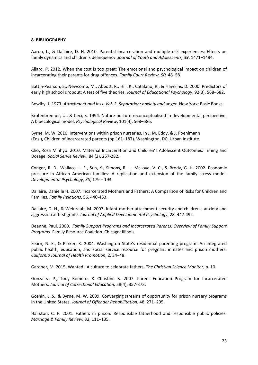## **8. BIBLIOGRAPHY**

Aaron, L., & Dallaire, D. H. 2010. Parental incarceration and multiple risk experiences: Effects on family dynamics and children's delinquency. *Journal of Youth and Adolescents, 39*, 1471–1484.

Allard, P. 2012. When the cost is too great: The emotional and psychological impact on children of incarcerating their parents for drug offences. *Family Court Review, 50,* 48–58.

Battin-Pearson, S., Newcomb, M., Abbott, R., Hill, K., Catalano, R., & Hawkins, D. 2000. Predictors of early high school dropout: A test of five theories. *Journal of Educational Psychology*, 92(3), 568–582.

Bowlby, J. 1973. *Attachment and loss: Vol. 2. Separation: anxiety and* anger. New York: Basic Books.

Brofenbrenner, U., & Ceci, S. 1994. Nature-nurture reconceptualised in developmental perspective: A bioecological model. *Psychological Review*, 101(4), 568–586.

Byrne, M. W. 2010. Interventions within prison nurseries. In J. M. Eddy, & J. Poehlmann (Eds.), Children of incarcerated parents (pp.161–187). Washington, DC: Urban Institute.

Cho, Rosa Minhyo. 2010. Maternal Incarceration and Children's Adolescent Outcomes: Timing and Dosage. *Social Servie Review,* 84 (2), 257-282.

Conger, R. D., Wallace, L. E., Sun, Y., Simons, R. L., McLoyd, V. C., & Brody, G. H. 2002. Economic pressure in African American families: A replication and extension of the family stress model. *Developmental Psychology*, *38*, 179 – 193.

Dallaire, Danielle H. 2007. Incarcerated Mothers and Fathers: A Comparison of Risks for Children and Families. *Family Relations*, 56, 440-453.

Dallaire, D. H., & Weinraub, M. 2007. Infant-mother attachment security and children's anxiety and aggression at first grade. *Journal of Applied Developmental Psychology*, 28, 447-492.

Deanne, Paul. 2000. *Family Support Programs and Incarcerated Parents: Overview of Family Support Programs.* Family Resource Coalition. Chicago: Illinois.

Fearn, N. E., & Parker, K. 2004. Washington State's residential parenting program: An integrated public health, education, and social service resource for pregnant inmates and prison mothers. *California Journal of Health Promotion*, 2, 34–48.

Gardner, M. 2015. Wanted: A culture to celebrate fathers. *The Christian Science Monitor*, p. 10.

Gonzalez, P., Tony Romero, & Christine B. 2007. Parent Education Program for Incarcerated Mothers. *Journal of Correctional Education,* 58(4), 357-373.

Goshin, L. S., & Byrne, M. W. 2009. Converging streams of opportunity for prison nursery programs in the United States. *Journal of Offender Rehabilitation*, 48, 271–295.

Hairston, C. F. 2001. Fathers in prison: Responsible fatherhood and responsible public policies. *Marriage & Family Review,* 32*,* 111–135.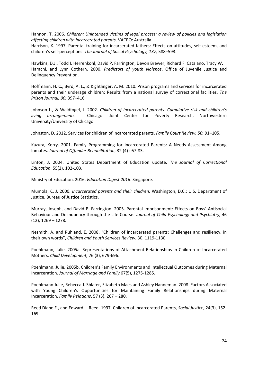Hannon, T. 2006. *Children: Unintended victims of legal process: a review of policies and legislation affecting children with incarcerated parents*. VACRO: Australia.

Harrison, K. 1997. Parental training for incarcerated fathers: Effects on attitudes, self-esteem, and children's self-perceptions. *The Journal of Social Psychology, 137,* 588–593.

Hawkins, D.J., Todd I. Herrenkohl, David P. Farrington, Devon Brewer, Richard F. Catalano, Tracy W. Harachi, and Lynn Cothern. 2000. *Predictors of youth violence*. Office of Juvenile Justice and Delinquency Prevention.

Hoffmann, H. C., Byrd, A. L., & Kightlinger, A. M. 2010. Prison programs and services for incarcerated parents and their underage children: Results from a national survey of correctional facilities. *The Prison Journal, 90,* 397–416.

Johnson L., & Waldfogel, J. 2002. *Children of incarcerated parents: Cumulative risk and children's living arrangements*. Chicago: Joint Center for Poverty Research, Northwestern University/University of Chicago.

Johnston, D. 2012. Services for children of incarcerated parents. *Family Court Review, 50,* 91–105.

Kazura, Kerry. 2001. Family Programming for Incarcerated Parents: A Needs Assessment Among Inmates. *Journal of Offender Rehabilitation*, 32 (4) : 67-83.

Linton, J. 2004. United States Department of Education update. *The Journal of Correctional Education*, 55(2), 102-103.

Ministry of Education. 2016. *Education Digest 2016*. Singapore.

Mumola, C. J. 2000. *Incarcerated parents and their children.* Washington, D.C.: U.S. Department of Justice, Bureau of Justice Statistics.

Murray, Joseph, and David P. Farrington. 2005. Parental Imprisonment: Effects on Boys' Antisocial Behaviour and Delinquency through the Life-Course. *Journal of Child Psychology and Psychiatry,* 46 (12), 1269 – 1278.

Nesmith, A. and Ruhland, E. 2008. "Children of incarcerated parents: Challenges and resiliency, in their own words", *Children and Youth Services Review*, 30, 1119-1130.

Poehlmann, Julie. 2005a. Representations of Attachment Relationships in Children of Incarcerated Mothers. *Child Development,* 76 (3), 679-696.

Poehlmann, Julie. 2005b. Children's Family Environments and Intellectual Outcomes during Maternal Incarceration. *Journal of Marriage and Family,*67(5), 1275-1285.

Poehlmann Julie, Rebecca J. Shlafer, Elizabeth Maes and Ashley Hanneman. 2008. Factors Associated with Young Children's Opportunities for Maintaining Family Relationships during Maternal Incarceration. *Family Relations*, 57 (3), 267 – 280.

Reed Diane F., and Edward L. Reed. 1997. Children of Incarcerated Parents, *Social Justice*, 24(3), 152- 169.